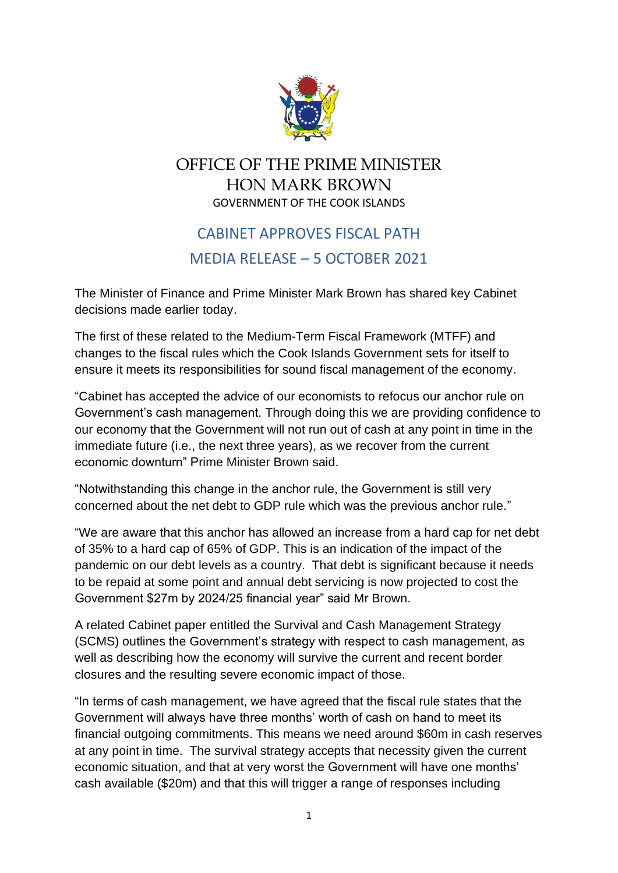

## OFFICE OF THE PRIME MINISTER HON MARK BROWN GOVERNMENT OF THE COOK ISLANDS

## CABINET APPROVES FISCAL PATH MEDIA RELEASE – 5 OCTOBER 2021

The Minister of Finance and Prime Minister Mark Brown has shared key Cabinet decisions made earlier today.

The first of these related to the Medium-Term Fiscal Framework (MTFF) and changes to the fiscal rules which the Cook Islands Government sets for itself to ensure it meets its responsibilities for sound fiscal management of the economy.

"Cabinet has accepted the advice of our economists to refocus our anchor rule on Government's cash management. Through doing this we are providing confidence to our economy that the Government will not run out of cash at any point in time in the immediate future (i.e., the next three years), as we recover from the current economic downturn" Prime Minister Brown said.

"Notwithstanding this change in the anchor rule, the Government is still very concerned about the net debt to GDP rule which was the previous anchor rule."

"We are aware that this anchor has allowed an increase from a hard cap for net debt of 35% to a hard cap of 65% of GDP. This is an indication of the impact of the pandemic on our debt levels as a country. That debt is significant because it needs to be repaid at some point and annual debt servicing is now projected to cost the Government \$27m by 2024/25 financial year" said Mr Brown.

A related Cabinet paper entitled the Survival and Cash Management Strategy (SCMS) outlines the Government's strategy with respect to cash management, as well as describing how the economy will survive the current and recent border closures and the resulting severe economic impact of those.

"In terms of cash management, we have agreed that the fiscal rule states that the Government will always have three months' worth of cash on hand to meet its financial outgoing commitments. This means we need around \$60m in cash reserves at any point in time. The survival strategy accepts that necessity given the current economic situation, and that at very worst the Government will have one months' cash available (\$20m) and that this will trigger a range of responses including